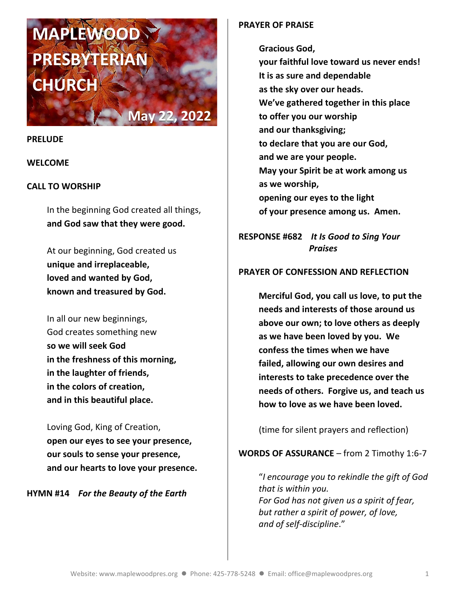# **MAPLEWOOD PRESBYTERIAN CHURC**

**May 22, 2022**

#### **PRELUDE**

## **WELCOME**

## **CALL TO WORSHIP**

In the beginning God created all things, **and God saw that they were good.**

At our beginning, God created us **unique and irreplaceable, loved and wanted by God, known and treasured by God.**

In all our new beginnings, God creates something new **so we will seek God in the freshness of this morning, in the laughter of friends, in the colors of creation, and in this beautiful place.**

Loving God, King of Creation, **open our eyes to see your presence, our souls to sense your presence, and our hearts to love your presence.**

**HYMN #14** *For the Beauty of the Earth*

### **PRAYER OF PRAISE**

**Gracious God,**

**your faithful love toward us never ends! It is as sure and dependable as the sky over our heads. We've gathered together in this place to offer you our worship and our thanksgiving; to declare that you are our God, and we are your people. May your Spirit be at work among us as we worship, opening our eyes to the light of your presence among us. Amen.**

**RESPONSE #682** *It Is Good to Sing Your Praises*

## **PRAYER OF CONFESSION AND REFLECTION**

**Merciful God, you call us love, to put the needs and interests of those around us above our own; to love others as deeply as we have been loved by you. We confess the times when we have failed, allowing our own desires and interests to take precedence over the needs of others. Forgive us, and teach us how to love as we have been loved.**

(time for silent prayers and reflection)

## **WORDS OF ASSURANCE** – from 2 Timothy 1:6-7

"*I encourage you to rekindle the gift of God that is within you. For God has not given us a spirit of fear, but rather a spirit of power, of love, and of self-discipline*."